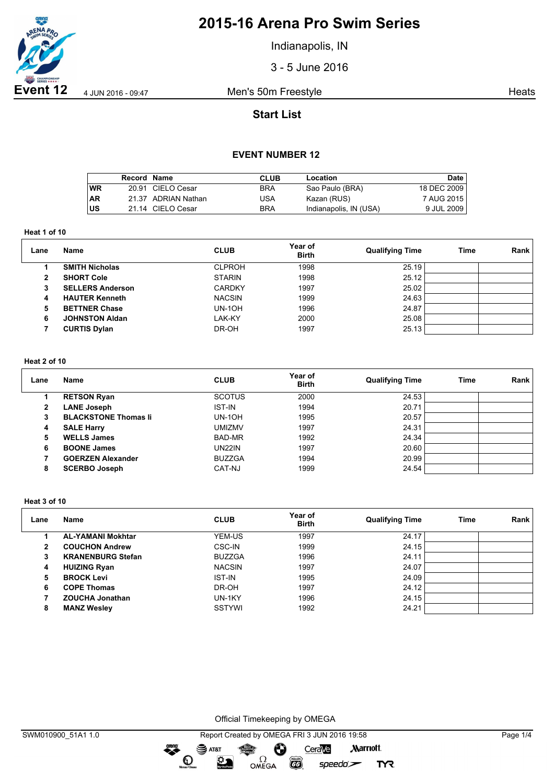

Indianapolis, IN

3 - 5 June 2016

Event 12 4 JUN 2016 - 09:47 Men's 50m Freestyle **Heats** Heats

## **Start List**

### **EVENT NUMBER 12**

|      | Record Name |                     | <b>CLUB</b> | Location               | Date        |
|------|-------------|---------------------|-------------|------------------------|-------------|
| l WR |             | 20.91 CIELO Cesar   | <b>BRA</b>  | Sao Paulo (BRA)        | 18 DEC 2009 |
| l AR |             | 21.37 ADRIAN Nathan | USA         | Kazan (RUS)            | 7 AUG 2015  |
| lus  |             | 21.14 CIELO Cesar   | <b>BRA</b>  | Indianapolis, IN (USA) | 9 JUL 2009  |

**Heat 1 of 10**

| Lane | Name                    | <b>CLUB</b>   | Year of<br><b>Birth</b> | <b>Qualifying Time</b> | Time | Rank |
|------|-------------------------|---------------|-------------------------|------------------------|------|------|
|      | <b>SMITH Nicholas</b>   | <b>CLPROH</b> | 1998                    | 25.19                  |      |      |
| 2    | <b>SHORT Cole</b>       | <b>STARIN</b> | 1998                    | 25.12                  |      |      |
| 3    | <b>SELLERS Anderson</b> | <b>CARDKY</b> | 1997                    | 25.02                  |      |      |
| 4    | <b>HAUTER Kenneth</b>   | <b>NACSIN</b> | 1999                    | 24.63                  |      |      |
| 5    | <b>BETTNER Chase</b>    | <b>UN-10H</b> | 1996                    | 24.87                  |      |      |
| 6    | <b>JOHNSTON Aldan</b>   | LAK-KY        | 2000                    | 25.08                  |      |      |
|      | <b>CURTIS Dylan</b>     | DR-OH         | 1997                    | 25.13                  |      |      |

### **Heat 2 of 10**

| Lane           | Name                        | <b>CLUB</b>   | Year of<br><b>Birth</b> | <b>Qualifying Time</b> | Time | <b>Rank</b> |
|----------------|-----------------------------|---------------|-------------------------|------------------------|------|-------------|
|                | <b>RETSON Ryan</b>          | <b>SCOTUS</b> | 2000                    | 24.53                  |      |             |
| $\overline{2}$ | <b>LANE Joseph</b>          | <b>IST-IN</b> | 1994                    | 20.71                  |      |             |
| 3              | <b>BLACKSTONE Thomas li</b> | UN-1OH        | 1995                    | 20.57                  |      |             |
| 4              | <b>SALE Harry</b>           | umizmv        | 1997                    | 24.31                  |      |             |
| 5              | <b>WELLS James</b>          | BAD-MR        | 1992                    | 24.34                  |      |             |
| 6              | <b>BOONE James</b>          | UN22IN        | 1997                    | 20.60                  |      |             |
|                | <b>GOERZEN Alexander</b>    | <b>BUZZGA</b> | 1994                    | 20.99                  |      |             |
| 8              | <b>SCERBO Joseph</b>        | CAT-NJ        | 1999                    | 24.54                  |      |             |

#### **Heat 3 of 10**

| Lane | Name                     | <b>CLUB</b>   | Year of<br><b>Birth</b> | <b>Qualifying Time</b> | Time | Rank |
|------|--------------------------|---------------|-------------------------|------------------------|------|------|
|      | <b>AL-YAMANI Mokhtar</b> | YEM-US        | 1997                    | 24.17                  |      |      |
| 2    | <b>COUCHON Andrew</b>    | <b>CSC-IN</b> | 1999                    | 24.15                  |      |      |
| 3    | <b>KRANENBURG Stefan</b> | <b>BUZZGA</b> | 1996                    | 24.11                  |      |      |
| 4    | <b>HUIZING Ryan</b>      | <b>NACSIN</b> | 1997                    | 24.07                  |      |      |
| 5    | <b>BROCK Levi</b>        | <b>IST-IN</b> | 1995                    | 24.09                  |      |      |
| 6    | <b>COPE Thomas</b>       | DR-OH         | 1997                    | 24.12                  |      |      |
|      | <b>ZOUCHA Jonathan</b>   | UN-1KY        | 1996                    | 24.15                  |      |      |
| 8    | <b>MANZ Wesley</b>       | <b>SSTYWI</b> | 1992                    | 24.21                  |      |      |

Official Timekeeping by OMEGA

**TYR** 

 $\bullet$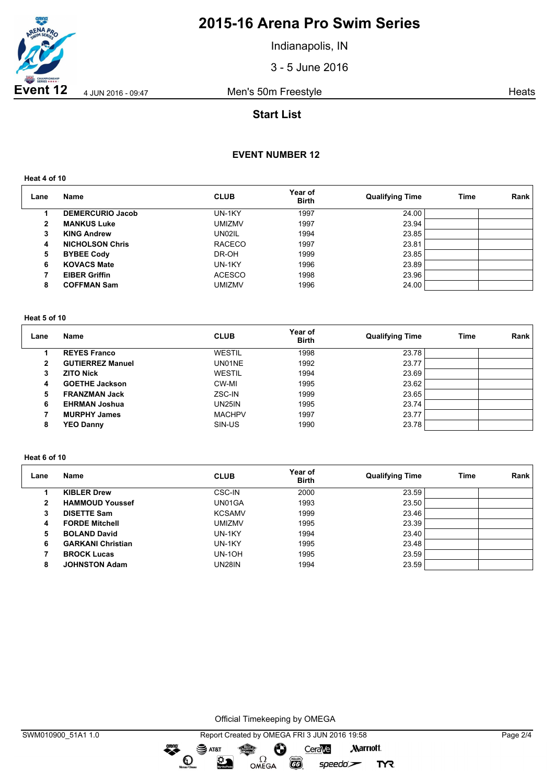

Indianapolis, IN

3 - 5 June 2016

Event 12 4 JUN 2016 - 09:47 Men's 50m Freestyle **Heats** Heats

# **Start List**

### **EVENT NUMBER 12**

**Heat 4 of 10**

| Lane | Name                    | <b>CLUB</b>   | Year of<br><b>Birth</b> | <b>Qualifying Time</b> | Time | Rank |
|------|-------------------------|---------------|-------------------------|------------------------|------|------|
|      | <b>DEMERCURIO Jacob</b> | UN-1KY        | 1997                    | 24.00                  |      |      |
| 2    | <b>MANKUS Luke</b>      | UMIZMV        | 1997                    | 23.94                  |      |      |
| 3    | <b>KING Andrew</b>      | UN02IL        | 1994                    | 23.85                  |      |      |
| 4    | <b>NICHOLSON Chris</b>  | <b>RACECO</b> | 1997                    | 23.81                  |      |      |
| 5    | <b>BYBEE Cody</b>       | DR-OH         | 1999                    | 23.85                  |      |      |
| 6    | <b>KOVACS Mate</b>      | UN-1KY        | 1996                    | 23.89                  |      |      |
|      | <b>EIBER Griffin</b>    | <b>ACESCO</b> | 1998                    | 23.96                  |      |      |
| 8    | <b>COFFMAN Sam</b>      | UMIZMV        | 1996                    | 24.00                  |      |      |

#### **Heat 5 of 10**

| Lane | Name                    | <b>CLUB</b>   | Year of<br><b>Birth</b> | <b>Qualifying Time</b> | Time | Rank |
|------|-------------------------|---------------|-------------------------|------------------------|------|------|
|      | <b>REYES Franco</b>     | <b>WESTIL</b> | 1998                    | 23.78                  |      |      |
| 2    | <b>GUTIERREZ Manuel</b> | UN01NE        | 1992                    | 23.77                  |      |      |
| 3    | <b>ZITO Nick</b>        | <b>WESTIL</b> | 1994                    | 23.69                  |      |      |
| 4    | <b>GOETHE Jackson</b>   | CW-MI         | 1995                    | 23.62                  |      |      |
| 5    | <b>FRANZMAN Jack</b>    | ZSC-IN        | 1999                    | 23.65                  |      |      |
| 6    | <b>EHRMAN Joshua</b>    | <b>UN25IN</b> | 1995                    | 23.74                  |      |      |
|      | <b>MURPHY James</b>     | <b>MACHPV</b> | 1997                    | 23.77                  |      |      |
| 8    | <b>YEO Danny</b>        | SIN-US        | 1990                    | 23.78                  |      |      |

#### **Heat 6 of 10**

| Lane | Name                     | <b>CLUB</b>   | Year of<br><b>Birth</b> | <b>Qualifying Time</b> | Time | Rank |
|------|--------------------------|---------------|-------------------------|------------------------|------|------|
|      | <b>KIBLER Drew</b>       | CSC-IN        | 2000                    | 23.59                  |      |      |
| 2    | <b>HAMMOUD Youssef</b>   | UN01GA        | 1993                    | 23.50                  |      |      |
| 3    | <b>DISETTE Sam</b>       | <b>KCSAMV</b> | 1999                    | 23.46                  |      |      |
| 4    | <b>FORDE Mitchell</b>    | <b>UMIZMV</b> | 1995                    | 23.39                  |      |      |
| 5    | <b>BOLAND David</b>      | UN-1KY        | 1994                    | 23.40                  |      |      |
| 6    | <b>GARKANI Christian</b> | UN-1KY        | 1995                    | 23.48                  |      |      |
|      | <b>BROCK Lucas</b>       | <b>UN-10H</b> | 1995                    | 23.59                  |      |      |
| 8    | <b>JOHNSTON Adam</b>     | <b>UN28IN</b> | 1994                    | 23.59                  |      |      |

Official Timekeeping by OMEGA

dreng:

 $\mathbf{O}$ 

签

SWM010900\_51A1 1.0 Report Created by OMEGA FRI 3 JUN 2016 19:58 Page 2/4 SAT&T CeraVe **Marriott** Ô OMEGA

 $\overline{G}$ 

 $speedo$ 

**TYR**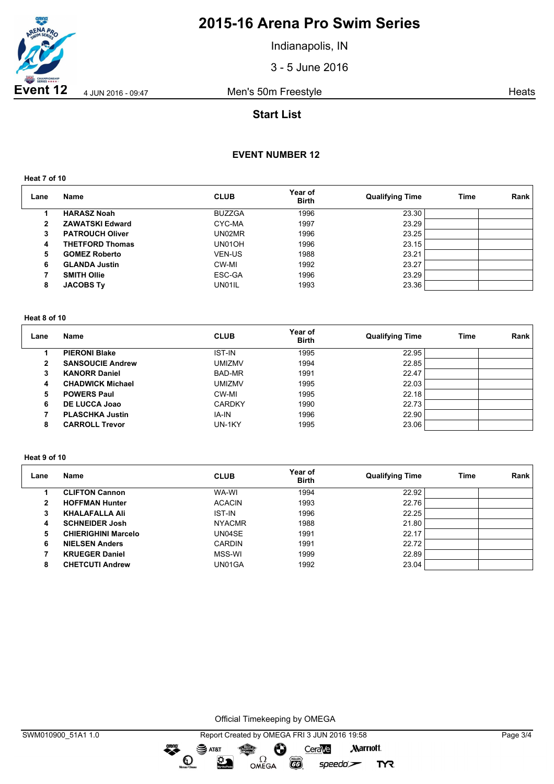

Indianapolis, IN

3 - 5 June 2016

Event 12 4 JUN 2016 - 09:47 Men's 50m Freestyle **Heats** Heats

# **Start List**

### **EVENT NUMBER 12**

**Heat 7 of 10**

| Lane           | Name                   | <b>CLUB</b>   | Year of<br><b>Birth</b> | <b>Qualifying Time</b> | Time | Rank |
|----------------|------------------------|---------------|-------------------------|------------------------|------|------|
|                | <b>HARASZ Noah</b>     | <b>BUZZGA</b> | 1996                    | 23.30                  |      |      |
| $\overline{2}$ | <b>ZAWATSKI Edward</b> | CYC-MA        | 1997                    | 23.29                  |      |      |
| 3              | <b>PATROUCH Oliver</b> | UN02MR        | 1996                    | 23.25                  |      |      |
| 4              | <b>THETFORD Thomas</b> | UN01OH        | 1996                    | 23.15                  |      |      |
| 5              | <b>GOMEZ Roberto</b>   | VEN-US        | 1988                    | 23.21                  |      |      |
| 6              | <b>GLANDA Justin</b>   | CW-MI         | 1992                    | 23.27                  |      |      |
|                | <b>SMITH Ollie</b>     | ESC-GA        | 1996                    | 23.29                  |      |      |
| 8              | <b>JACOBS Ty</b>       | UN01IL        | 1993                    | 23.36                  |      |      |

#### **Heat 8 of 10**

| Lane | Name                    | <b>CLUB</b>   | Year of<br><b>Birth</b> | <b>Qualifying Time</b> | Time | Rank |
|------|-------------------------|---------------|-------------------------|------------------------|------|------|
|      | <b>PIERONI Blake</b>    | <b>IST-IN</b> | 1995                    | 22.95                  |      |      |
| 2    | <b>SANSOUCIE Andrew</b> | <b>UMIZMV</b> | 1994                    | 22.85                  |      |      |
| 3    | <b>KANORR Daniel</b>    | BAD-MR        | 1991                    | 22.47                  |      |      |
| 4    | <b>CHADWICK Michael</b> | <b>UMIZMV</b> | 1995                    | 22.03                  |      |      |
| 5    | <b>POWERS Paul</b>      | CW-MI         | 1995                    | 22.18                  |      |      |
| 6    | <b>DE LUCCA Joao</b>    | <b>CARDKY</b> | 1990                    | 22.73                  |      |      |
|      | <b>PLASCHKA Justin</b>  | IA-IN         | 1996                    | 22.90                  |      |      |
| 8    | <b>CARROLL Trevor</b>   | UN-1KY        | 1995                    | 23.06                  |      |      |

#### **Heat 9 of 10**

| Lane         | Name                       | <b>CLUB</b>   | Year of<br><b>Birth</b> | <b>Qualifying Time</b> | Time | Rank |
|--------------|----------------------------|---------------|-------------------------|------------------------|------|------|
|              | <b>CLIFTON Cannon</b>      | WA-WI         | 1994                    | 22.92                  |      |      |
| $\mathbf{2}$ | <b>HOFFMAN Hunter</b>      | <b>ACACIN</b> | 1993                    | 22.76                  |      |      |
| 3            | <b>KHALAFALLA Ali</b>      | <b>IST-IN</b> | 1996                    | 22.25                  |      |      |
| 4            | <b>SCHNEIDER Josh</b>      | <b>NYACMR</b> | 1988                    | 21.80                  |      |      |
| 5            | <b>CHIERIGHINI Marcelo</b> | UN04SE        | 1991                    | 22.17                  |      |      |
| 6            | <b>NIELSEN Anders</b>      | <b>CARDIN</b> | 1991                    | 22.72                  |      |      |
|              | <b>KRUEGER Daniel</b>      | MSS-WI        | 1999                    | 22.89                  |      |      |
| 8            | <b>CHETCUTI Andrew</b>     | UN01GA        | 1992                    | 23.04                  |      |      |

Official Timekeeping by OMEGA

dreng:

 $\odot$ 

 $\mathbf{S}$  AT&T